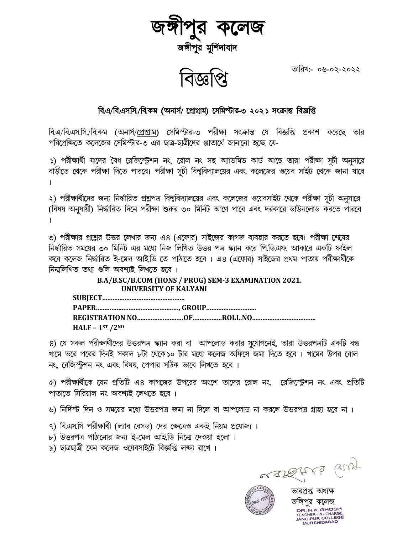

তারিখ:- ০৬-০২-২০২২

## বি.এ/বি.এস.সি./বি.কম (অনার্স/ প্রোগ্রাম) সেমিস্টার-৩ ২০২১ সংক্রান্ত বিজ্ঞপ্তি

বি.এ/বি.এস.সি./বি.কম (অনার্স/প্রোগ্রাম) সেমিস্টার-৩ পরীক্ষা সংক্রান্ত যে বিজ্ঞপ্তি প্রকাশ করেছে তার পরিপ্রেক্ষিতে কলেজের সেমিস্টার-৩ এর ছাত্র-ছাত্রীদের ঞ্জাতার্থে জানানো হচ্ছে য়ে-

১) পরীক্ষার্থী যাদের বৈধ রেজিস্ট্রেশন নং, রোল নং সহ অ্যাডমিড কার্ড আছে তারা পরীক্ষা সূচী অনুসারে বাড়ীতে থেকে পরীক্ষা দিতে পারবে। পরীক্ষা সূচী বিশুবিদ্যালয়ের এবং কলেজের ওয়েব সাইট থেকে জানা যাবে

২) পরীক্ষার্থীদের জন্য নির্দ্ধারিত প্রশ্নপত্র বিশ্ববিদ্যালয়ের এবং কলেজের ওয়েবসাইট থেকে পরীক্ষা সূচী অনুসারে (বিষয় অনুযায়ী) নির্দ্ধারিত দিনে পরীক্ষা শুরুর ৩০ মিনিট আগে পাবে এবং দরকারে ডাউনলোড করতে পারবে

৩) পরীক্ষার প্রশ্নের উত্তর লেখার জন্য এ৪ (এফোর) সাইজের কাগজ ব্যবহার করতে হবে। পরীক্ষা শেষের নিৰ্দ্ধারিত সময়ের ৩০ মিনিট এর মধ্যে নিজ লিখিত উত্তর পত্র স্ক্যান করে পি.ডি.এফ. আকারে একটি ফাইল করে কলেজ নির্দ্ধারিত ই-মেল আই.ডি তে পাঠাতে হবে। এ৪ (এফোর) সাইজের প্রথম পাতায় পরীক্ষার্থীকে নিনালিখিত তথ্য গুলি অবশ্যই লিখতে হবে ।

## B.A/B.SC/B.COM (HONS / PROG) SEM-3 EXAMINATION 2021. **IINIVERSITY OF KALYANI**

| HALF - $1ST / 2ND$ |  |
|--------------------|--|

৪) যে সকল পরীক্ষার্থীদের উত্তরপত্র স্ক্যান করা বা আপলোড করার সুযোগনেই, তারা উত্তরপত্রটি একটি বন্ধ খামে ভরে পরের দিনই সকাল ৮টা থেকে১০ টার মধ্যে কলেজ অফিসে জমা দিতে হবে । খামের উপর রোল নং রেজিস্টশন নং এবং বিষয় পেপার সঠিক ভাবে লিখতে হবে ।

৫) পরীক্ষার্থীকে যেন প্রতিটি এ৪ কাগজের উপরের অংশে তাদের রোল নং মরেজিস্টেশন নং এবং প্রতিটি পাতাতে সিরিয়াল নং অবশ্যই লেখতে হবে ।

৬) নির্দিশ্ট দিন ও সময়ের মধ্যে উত্তরপত্র জমা না দিলে বা আপলোড না করলে উত্তরপত্র গ্রাহ্য হবে না।

- ৭) বি.এস.সি পরীক্ষার্থী (ল্যাব বেসড) দের ক্ষেত্রেও একই নিয়ম প্রযোজ্য ।
- ৮) উত্তরপত্র পাঠানোর জন্য ই-মেল আইডি নিনো দেওয়া হলো।
- ৯) ছাত্রছাত্রী যেন কলেজ ওয়েবসাইটে বিজ্ঞপ্তি লক্ষ্য রাখে।

askreig eny



ভারপ্রপ্ত অধ্যক্ষ জাঙ্গপর কলেজ DR N K GHOSH TEACHER-IN-CHARGE